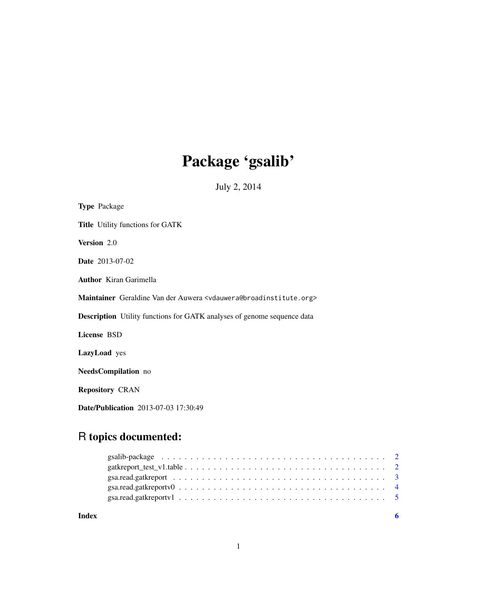# Package 'gsalib'

July 2, 2014

| <b>Type Package</b>                                                                             |
|-------------------------------------------------------------------------------------------------|
| Title Utility functions for GATK                                                                |
| Version 2.0                                                                                     |
| <b>Date</b> 2013-07-02                                                                          |
| <b>Author</b> Kiran Garimella                                                                   |
| Maintainer Geraldine Van der Auwera <vdauwera@broadinstitute.org></vdauwera@broadinstitute.org> |
| <b>Description</b> Utility functions for GATK analyses of genome sequence data                  |
| License BSD                                                                                     |
| LazyLoad yes                                                                                    |
| <b>NeedsCompilation</b> no                                                                      |
| <b>Repository CRAN</b>                                                                          |
| <b>Date/Publication</b> 2013-07-03 17:30:49                                                     |

# R topics documented:

**Index** [6](#page-5-0) **6**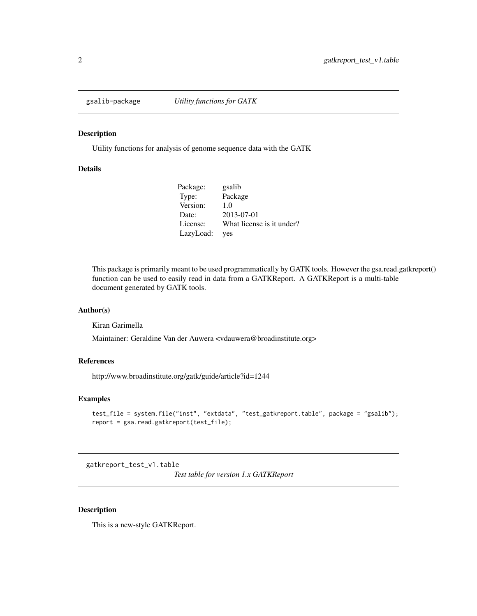<span id="page-1-0"></span>

# Description

Utility functions for analysis of genome sequence data with the GATK

# Details

| Package:  | gsalib                    |
|-----------|---------------------------|
| Type:     | Package                   |
| Version:  | 1.0                       |
| Date:     | 2013-07-01                |
| License:  | What license is it under? |
| LazyLoad: | ves                       |

This package is primarily meant to be used programmatically by GATK tools. However the gsa.read.gatkreport() function can be used to easily read in data from a GATKReport. A GATKReport is a multi-table document generated by GATK tools.

#### Author(s)

Kiran Garimella

Maintainer: Geraldine Van der Auwera <vdauwera@broadinstitute.org>

#### References

http://www.broadinstitute.org/gatk/guide/article?id=1244

# Examples

```
test_file = system.file("inst", "extdata", "test_gatkreport.table", package = "gsalib");
report = gsa.read.gatkreport(test_file);
```
gatkreport\_test\_v1.table

*Test table for version 1.x GATKReport*

# Description

This is a new-style GATKReport.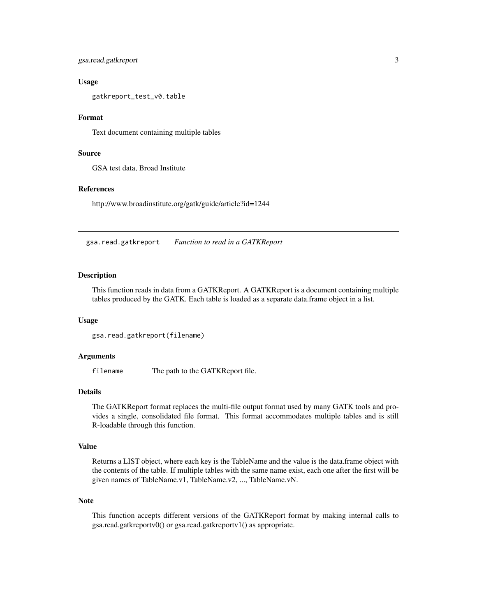<span id="page-2-0"></span>gsa.read.gatkreport 3

#### Usage

gatkreport\_test\_v0.table

# Format

Text document containing multiple tables

# Source

GSA test data, Broad Institute

# References

http://www.broadinstitute.org/gatk/guide/article?id=1244

gsa.read.gatkreport *Function to read in a GATKReport*

#### **Description**

This function reads in data from a GATKReport. A GATKReport is a document containing multiple tables produced by the GATK. Each table is loaded as a separate data.frame object in a list.

# Usage

```
gsa.read.gatkreport(filename)
```
#### Arguments

filename The path to the GATKReport file.

#### Details

The GATKReport format replaces the multi-file output format used by many GATK tools and provides a single, consolidated file format. This format accommodates multiple tables and is still R-loadable through this function.

#### Value

Returns a LIST object, where each key is the TableName and the value is the data.frame object with the contents of the table. If multiple tables with the same name exist, each one after the first will be given names of TableName.v1, TableName.v2, ..., TableName.vN.

### Note

This function accepts different versions of the GATKReport format by making internal calls to gsa.read.gatkreportv0() or gsa.read.gatkreportv1() as appropriate.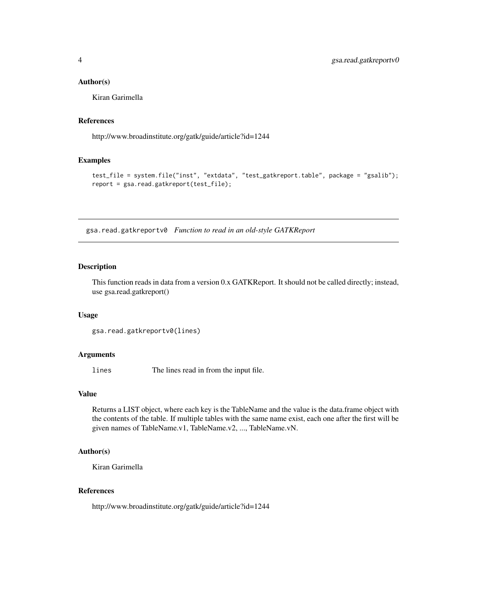#### <span id="page-3-0"></span>Author(s)

Kiran Garimella

#### References

http://www.broadinstitute.org/gatk/guide/article?id=1244

#### Examples

```
test_file = system.file("inst", "extdata", "test_gatkreport.table", package = "gsalib");
report = gsa.read.gatkreport(test_file);
```
gsa.read.gatkreportv0 *Function to read in an old-style GATKReport*

#### Description

This function reads in data from a version 0.x GATKReport. It should not be called directly; instead, use gsa.read.gatkreport()

#### Usage

```
gsa.read.gatkreportv0(lines)
```
# Arguments

lines The lines read in from the input file.

### Value

Returns a LIST object, where each key is the TableName and the value is the data.frame object with the contents of the table. If multiple tables with the same name exist, each one after the first will be given names of TableName.v1, TableName.v2, ..., TableName.vN.

#### Author(s)

Kiran Garimella

#### References

http://www.broadinstitute.org/gatk/guide/article?id=1244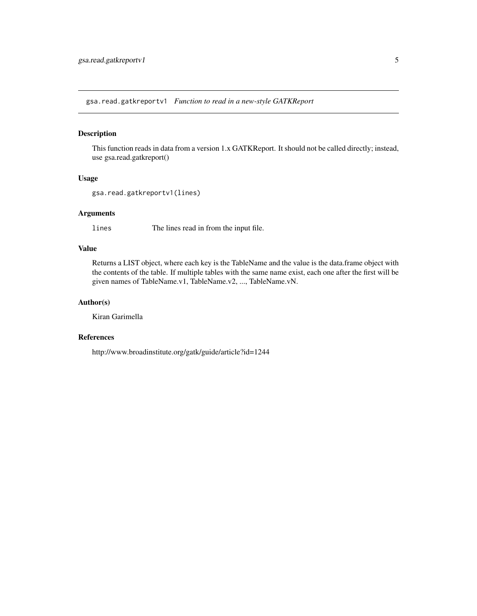<span id="page-4-0"></span>gsa.read.gatkreportv1 *Function to read in a new-style GATKReport*

# Description

This function reads in data from a version 1.x GATKReport. It should not be called directly; instead, use gsa.read.gatkreport()

#### Usage

```
gsa.read.gatkreportv1(lines)
```
# Arguments

lines The lines read in from the input file.

# Value

Returns a LIST object, where each key is the TableName and the value is the data.frame object with the contents of the table. If multiple tables with the same name exist, each one after the first will be given names of TableName.v1, TableName.v2, ..., TableName.vN.

# Author(s)

Kiran Garimella

# References

http://www.broadinstitute.org/gatk/guide/article?id=1244